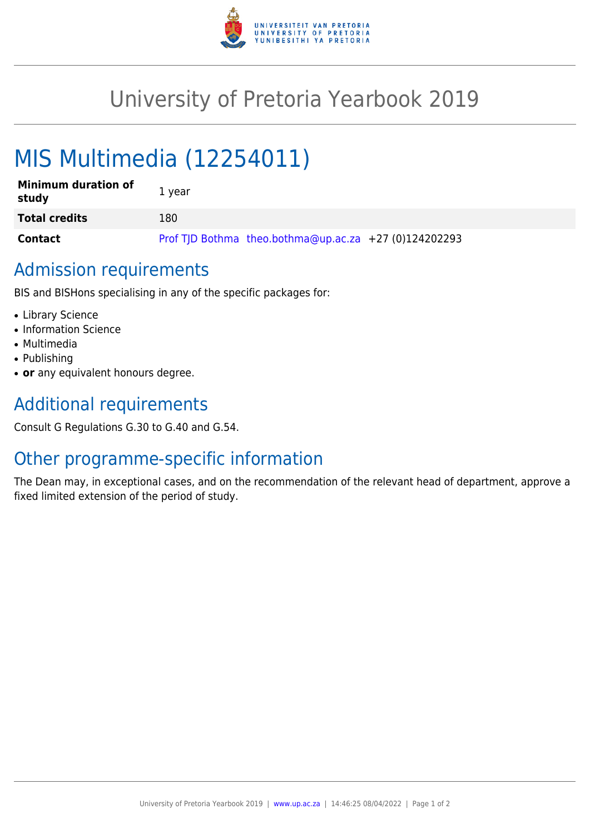

## University of Pretoria Yearbook 2019

# MIS Multimedia (12254011)

| <b>Minimum duration of</b><br>study | 1 year                                                |
|-------------------------------------|-------------------------------------------------------|
| <b>Total credits</b>                | 180                                                   |
| <b>Contact</b>                      | Prof TJD Bothma theo.bothma@up.ac.za +27 (0)124202293 |

#### Admission requirements

BIS and BISHons specialising in any of the specific packages for:

- Library Science
- Information Science
- Multimedia
- Publishing
- or any equivalent honours degree.

## Additional requirements

Consult G Regulations G.30 to G.40 and G.54.

#### Other programme-specific information

The Dean may, in exceptional cases, and on the recommendation of the relevant head of department, approve a fixed limited extension of the period of study.